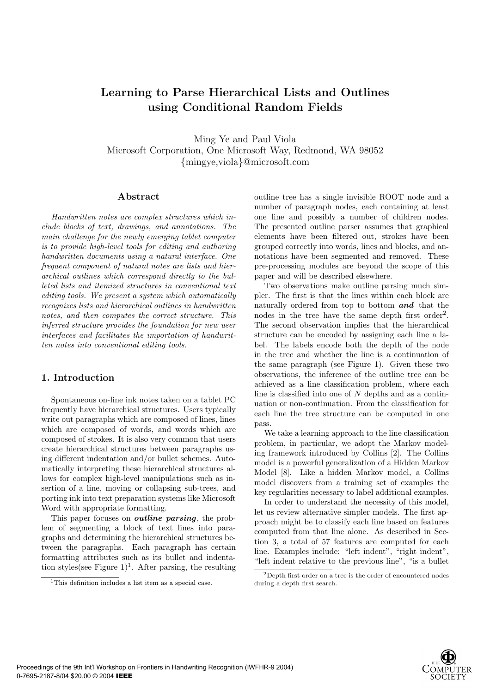# Learning to Parse Hierarchical Lists and Outlines using Conditional Random Fields

Ming Ye and Paul Viola Microsoft Corporation, One Microsoft Way, Redmond, WA 98052 {mingye,viola}@microsoft.com

### Abstract

Handwritten notes are complex structures which include blocks of text, drawings, and annotations. The main challenge for the newly emerging tablet computer is to provide high-level tools for editing and authoring handwritten documents using a natural interface. One frequent component of natural notes are lists and hierarchical outlines which correspond directly to the bulleted lists and itemized structures in conventional text editing tools. We present a system which automatically recognizes lists and hierarchical outlines in handwritten notes, and then computes the correct structure. This inferred structure provides the foundation for new user interfaces and facilitates the importation of handwritten notes into conventional editing tools.

# 1. Introduction

Spontaneous on-line ink notes taken on a tablet PC frequently have hierarchical structures. Users typically write out paragraphs which are composed of lines, lines which are composed of words, and words which are composed of strokes. It is also very common that users create hierarchical structures between paragraphs using different indentation and/or bullet schemes. Automatically interpreting these hierarchical structures allows for complex high-level manipulations such as insertion of a line, moving or collapsing sub-trees, and porting ink into text preparation systems like Microsoft Word with appropriate formatting.

This paper focuses on *outline parsing*, the problem of segmenting a block of text lines into paragraphs and determining the hierarchical structures between the paragraphs. Each paragraph has certain formatting attributes such as its bullet and indentation styles(see Figure 1)<sup>1</sup>. After parsing, the resulting outline tree has a single invisible ROOT node and a number of paragraph nodes, each containing at least one line and possibly a number of children nodes. The presented outline parser assumes that graphical elements have been filtered out, strokes have been grouped correctly into words, lines and blocks, and annotations have been segmented and removed. These pre-processing modules are beyond the scope of this paper and will be described elsewhere.

Two observations make outline parsing much simpler. The first is that the lines within each block are naturally ordered from top to bottom **and** that the nodes in the tree have the same depth first order<sup>2</sup>. The second observation implies that the hierarchical structure can be encoded by assigning each line a label. The labels encode both the depth of the node in the tree and whether the line is a continuation of the same paragraph (see Figure 1). Given these two observations, the inference of the outline tree can be achieved as a line classification problem, where each line is classified into one of  $N$  depths and as a continuation or non-continuation. From the classification for each line the tree structure can be computed in one pass.

We take a learning approach to the line classification problem, in particular, we adopt the Markov modeling framework introduced by Collins [2]. The Collins model is a powerful generalization of a Hidden Markov Model [8]. Like a hidden Markov model, a Collins model discovers from a training set of examples the key regularities necessary to label additional examples.

In order to understand the necessity of this model, let us review alternative simpler models. The first approach might be to classify each line based on features computed from that line alone. As described in Section 3, a total of 57 features are computed for each line. Examples include: "left indent", "right indent", "left indent relative to the previous line", "is a bullet



<sup>1</sup>This definition includes a list item as a special case.

<sup>&</sup>lt;sup>2</sup>Depth first order on a tree is the order of encountered nodes during a depth first search.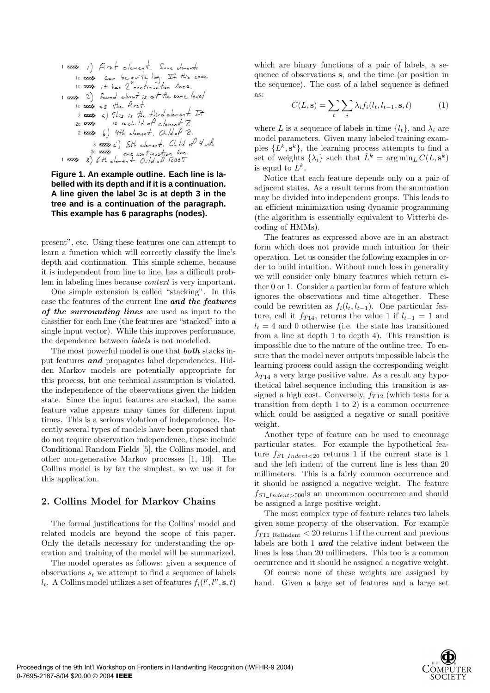# **Figure 1. An example outline. Each line is labelled with its depth and if it is a continuation. A line given the label 3c is at depth 3 in the tree and is a continuation of the paragraph. This example has 6 paragraphs (nodes).**

present", etc. Using these features one can attempt to learn a function which will correctly classify the line's depth and continuation. This simple scheme, because it is independent from line to line, has a difficult problem in labeling lines because context is very important.

One simple extension is called "stacking". In this case the features of the current line and the features of the surrounding lines are used as input to the classifier for each line (the features are "stacked" into a single input vector). While this improves performance, the dependence between labels is not modelled.

The most powerful model is one that **both** stacks input features and propagates label dependencies. Hidden Markov models are potentially appropriate for this process, but one technical assumption is violated, the independence of the observations given the hidden state. Since the input features are stacked, the same feature value appears many times for different input times. This is a serious violation of independence. Recently several types of models have been proposed that do not require observation independence, these include Conditional Random Fields [5], the Collins model, and other non-generative Markov processes [1, 10]. The Collins model is by far the simplest, so we use it for this application.

# 2. Collins Model for Markov Chains

The formal justifications for the Collins' model and related models are beyond the scope of this paper. Only the details necessary for understanding the operation and training of the model will be summarized.

The model operates as follows: given a sequence of observations  $s_t$  we attempt to find a sequence of labels  $l_t$ . A Collins model utilizes a set of features  $f_i(l', l'', s, t)$ 

which are binary functions of a pair of labels, a sequence of observations s, and the time (or position in the sequence). The cost of a label sequence is defined as:  $\overline{\phantom{a}}$ 

$$
C(L, \mathbf{s}) = \sum_{t} \sum_{i} \lambda_i f_i(l_t, l_{t-1}, \mathbf{s}, t)
$$
 (1)

where L is a sequence of labels in time  $\{l_t\}$ , and  $\lambda_i$  are model parameters. Given many labeled training examples  $\{L^k, s^k\}$ , the learning process attempts to find a set of weights  $\{\lambda_i\}$  such that  $\hat{L}^k = \arg \min_{L} C(L, s^k)$ is equal to  $L^k$ .

Notice that each feature depends only on a pair of adjacent states. As a result terms from the summation may be divided into independent groups. This leads to an efficient minimization using dynamic programming (the algorithm is essentially equivalent to Vitterbi decoding of HMMs).

The features as expressed above are in an abstract form which does not provide much intuition for their operation. Let us consider the following examples in order to build intuition. Without much loss in generality we will consider only binary features which return either 0 or 1. Consider a particular form of feature which ignores the observations and time altogether. These could be rewritten as  $f_i(l_t, l_{t-1})$ . One particular feature, call it  $f_{T14}$ , returns the value 1 if  $l_{t-1} = 1$  and  $l_t = 4$  and 0 otherwise (i.e. the state has transitioned from a line at depth 1 to depth 4). This transition is impossible due to the nature of the outline tree. To ensure that the model never outputs impossible labels the learning process could assign the corresponding weight  $\lambda_{T14}$  a very large positive value. As a result any hypothetical label sequence including this transition is assigned a high cost. Conversely,  $f_{T12}$  (which tests for a transition from depth 1 to 2) is a common occurrence which could be assigned a negative or small positive weight.

Another type of feature can be used to encourage particular states. For example the hypothetical feature  $f_{S1\_Indent < 20}$  returns 1 if the current state is 1 and the left indent of the current line is less than 20 millimeters. This is a fairly common occurrence and it should be assigned a negative weight. The feature  $f_{S1\_Indent > 500}$  is an uncommon occurrence and should be assigned a large positive weight.

The most complex type of feature relates two labels given some property of the observation. For example  $f_{T11\text{-}RelIndent} < 20$  returns 1 if the current and previous labels are both 1 and the relative indent between the lines is less than 20 millimeters. This too is a common occurrence and it should be assigned a negative weight.

Of course none of these weights are assigned by hand. Given a large set of features and a large set

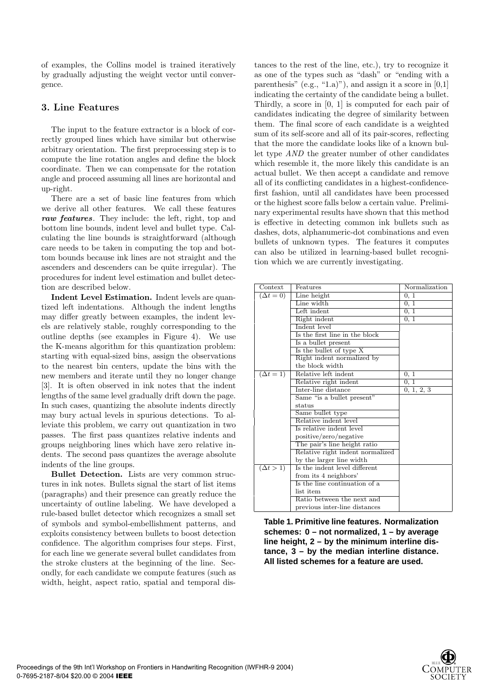of examples, the Collins model is trained iteratively by gradually adjusting the weight vector until convergence.

# 3. Line Features

The input to the feature extractor is a block of correctly grouped lines which have similar but otherwise arbitrary orientation. The first preprocessing step is to compute the line rotation angles and define the block coordinate. Then we can compensate for the rotation angle and proceed assuming all lines are horizontal and up-right.

There are a set of basic line features from which we derive all other features. We call these features raw features. They include: the left, right, top and bottom line bounds, indent level and bullet type. Calculating the line bounds is straightforward (although care needs to be taken in computing the top and bottom bounds because ink lines are not straight and the ascenders and descenders can be quite irregular). The procedures for indent level estimation and bullet detection are described below.

Indent Level Estimation. Indent levels are quantized left indentations. Although the indent lengths may differ greatly between examples, the indent levels are relatively stable, roughly corresponding to the outline depths (see examples in Figure 4). We use the K-means algorithm for this quantization problem: starting with equal-sized bins, assign the observations to the nearest bin centers, update the bins with the new members and iterate until they no longer change [3]. It is often observed in ink notes that the indent lengths of the same level gradually drift down the page. In such cases, quantizing the absolute indents directly may bury actual levels in spurious detections. To alleviate this problem, we carry out quantization in two passes. The first pass quantizes relative indents and groups neighboring lines which have zero relative indents. The second pass quantizes the average absolute indents of the line groups.

Bullet Detection. Lists are very common structures in ink notes. Bullets signal the start of list items (paragraphs) and their presence can greatly reduce the uncertainty of outline labeling. We have developed a rule-based bullet detector which recognizes a small set of symbols and symbol-embellishment patterns, and exploits consistency between bullets to boost detection confidence. The algorithm comprises four steps. First, for each line we generate several bullet candidates from the stroke clusters at the beginning of the line. Secondly, for each candidate we compute features (such as width, height, aspect ratio, spatial and temporal distances to the rest of the line, etc.), try to recognize it as one of the types such as "dash" or "ending with a parenthesis"  $(e.g., "1.a)"$ ), and assign it a score in  $[0,1]$ indicating the certainty of the candidate being a bullet. Thirdly, a score in [0, 1] is computed for each pair of candidates indicating the degree of similarity between them. The final score of each candidate is a weighted sum of its self-score and all of its pair-scores, reflecting that the more the candidate looks like of a known bullet type AND the greater number of other candidates which resemble it, the more likely this candidate is an actual bullet. We then accept a candidate and remove all of its conflicting candidates in a highest-confidencefirst fashion, until all candidates have been processed or the highest score falls below a certain value. Preliminary experimental results have shown that this method is effective in detecting common ink bullets such as dashes, dots, alphanumeric-dot combinations and even bullets of unknown types. The features it computes can also be utilized in learning-based bullet recognition which we are currently investigating.

| Context                     | Features                         | Normalization |
|-----------------------------|----------------------------------|---------------|
| $(\Delta t = 0)$            | Line height                      | 0, 1          |
|                             | Line width                       | 0, 1          |
|                             | Left indent                      | 0, 1          |
|                             | Right indent                     | 0, 1          |
|                             | Indent level                     |               |
|                             | Is the first line in the block   |               |
|                             | Is a bullet present              |               |
|                             | Is the bullet of type X          |               |
|                             | Right indent normalized by       |               |
|                             | the block width                  |               |
| $(\Delta t = 1)$            | Relative left indent             | 0, 1          |
|                             | Relative right indent            | 0, 1          |
|                             | Inter-line distance              | 0, 1, 2, 3    |
|                             | Same "is a bullet present"       |               |
|                             | status                           |               |
|                             | Same bullet type                 |               |
|                             | Relative indent level            |               |
|                             | Is relative indent level         |               |
|                             | positive/zero/negative           |               |
|                             | The pair's line height ratio     |               |
|                             | Relative right indent normalized |               |
|                             | by the larger line width         |               |
| $(\overline{\Delta t} > 1)$ | Is the indent level different    |               |
|                             | from its 4 neighbors'            |               |
|                             | Is the line continuation of a    |               |
|                             | list item                        |               |
|                             | Ratio between the next and       |               |
|                             | previous inter-line distances    |               |

**Table 1. Primitive line features. Normalization schemes: 0 – not normalized, 1 – by average line height, 2 – by the minimum interline distance, 3 – by the median interline distance. All listed schemes for a feature are used.**

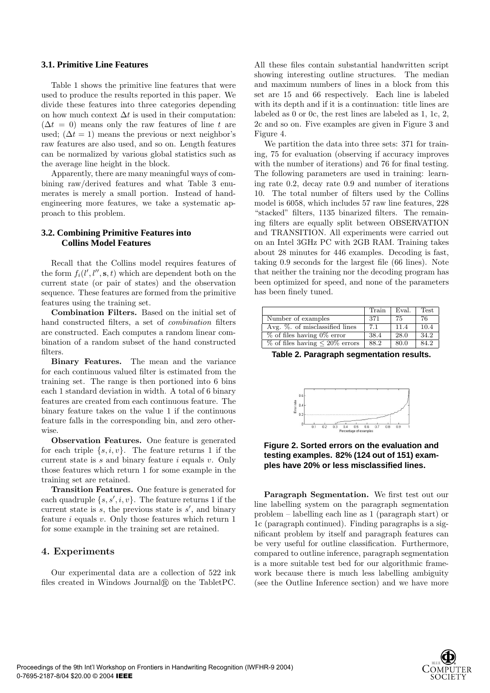#### **3.1. Primitive Line Features**

Table 1 shows the primitive line features that were used to produce the results reported in this paper. We divide these features into three categories depending on how much context  $\Delta t$  is used in their computation:  $(\Delta t = 0)$  means only the raw features of line t are used;  $(\Delta t = 1)$  means the previous or next neighbor's raw features are also used, and so on. Length features can be normalized by various global statistics such as the average line height in the block.

Apparently, there are many meaningful ways of combining raw/derived features and what Table 3 enumerates is merely a small portion. Instead of handengineering more features, we take a systematic approach to this problem.

#### **3.2. Combining Primitive Features into Collins Model Features**

Recall that the Collins model requires features of the form  $f_i(l', l'', s, t)$  which are dependent both on the current state (or pair of states) and the observation sequence. These features are formed from the primitive features using the training set.

Combination Filters. Based on the initial set of hand constructed filters, a set of combination filters are constructed. Each computes a random linear combination of a random subset of the hand constructed filters.

Binary Features. The mean and the variance for each continuous valued filter is estimated from the training set. The range is then portioned into 6 bins each 1 standard deviation in width. A total of 6 binary features are created from each continuous feature. The binary feature takes on the value 1 if the continuous feature falls in the corresponding bin, and zero otherwise.

Observation Features. One feature is generated for each triple  $\{s, i, v\}$ . The feature returns 1 if the current state is  $s$  and binary feature  $i$  equals  $v$ . Only those features which return 1 for some example in the training set are retained.

Transition Features. One feature is generated for each quadruple  $\{s, s', i, v\}$ . The feature returns 1 if the current state is  $s$ , the previous state is  $s'$ , and binary feature  $i$  equals  $v$ . Only those features which return 1 for some example in the training set are retained.

#### 4. Experiments

Our experimental data are a collection of 522 ink files created in Windows Journal $\mathbb{R}$  on the Tablet PC. All these files contain substantial handwritten script showing interesting outline structures. The median and maximum numbers of lines in a block from this set are 15 and 66 respectively. Each line is labeled with its depth and if it is a continuation: title lines are labeled as 0 or 0c, the rest lines are labeled as 1, 1c, 2, 2c and so on. Five examples are given in Figure 3 and Figure 4.

We partition the data into three sets: 371 for training, 75 for evaluation (observing if accuracy improves with the number of iterations) and 76 for final testing. The following parameters are used in training: learning rate 0.2, decay rate 0.9 and number of iterations 10. The total number of filters used by the Collins model is 6058, which includes 57 raw line features, 228 "stacked" filters, 1135 binarized filters. The remaining filters are equally split between OBSERVATION and TRANSITION. All experiments were carried out on an Intel 3GHz PC with 2GB RAM. Training takes about 28 minutes for 446 examples. Decoding is fast, taking 0.9 seconds for the largest file (66 lines). Note that neither the training nor the decoding program has been optimized for speed, and none of the parameters has been finely tuned.

|                                         | Train | Eval. | Test |
|-----------------------------------------|-------|-------|------|
| Number of examples                      | 371   | 75    | 76   |
| Avg. $\%$ of misclassified lines        | 7.1   | 11.4  | 10.4 |
| $%$ of files having 0% error            | 38.4  | 28.0  | 34.2 |
| $\%$ of files having $\leq 20\%$ errors | 88.2  | 80.0  | 84.2 |

**Table 2. Paragraph segmentation results.**



**Figure 2. Sorted errors on the evaluation and testing examples. 82% (124 out of 151) examples have 20% or less misclassified lines.**

Paragraph Segmentation. We first test out our line labelling system on the paragraph segmentation problem – labelling each line as 1 (paragraph start) or 1c (paragraph continued). Finding paragraphs is a significant problem by itself and paragraph features can be very useful for outline classification. Furthermore, compared to outline inference, paragraph segmentation is a more suitable test bed for our algorithmic framework because there is much less labelling ambiguity (see the Outline Inference section) and we have more

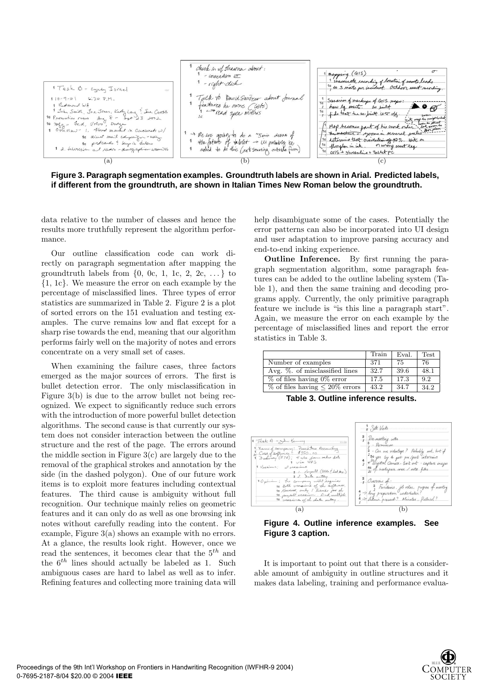

**Figure 3. Paragraph segmentation examples. Groundtruth labels are shown in Arial. Predicted labels, if different from the groundtruth, are shown in Italian Times New Roman below the groundtruth.**

data relative to the number of classes and hence the results more truthfully represent the algorithm performance.

Our outline classification code can work directly on paragraph segmentation after mapping the groundtruth labels from  $\{0, 0c, 1, 1c, 2, 2c, \ldots\}$  to {1, 1c}. We measure the error on each example by the percentage of misclassified lines. Three types of error statistics are summarized in Table 2. Figure 2 is a plot of sorted errors on the 151 evaluation and testing examples. The curve remains low and flat except for a sharp rise towards the end, meaning that our algorithm performs fairly well on the majority of notes and errors concentrate on a very small set of cases.

When examining the failure cases, three factors emerged as the major sources of errors. The first is bullet detection error. The only misclassification in Figure 3(b) is due to the arrow bullet not being recognized. We expect to significantly reduce such errors with the introduction of more powerful bullet detection algorithms. The second cause is that currently our system does not consider interaction between the outline structure and the rest of the page. The errors around the middle section in Figure 3(c) are largely due to the removal of the graphical strokes and annotation by the side (in the dashed polygon). One of our future work items is to exploit more features including contextual features. The third cause is ambiguity without full recognition. Our technique mainly relies on geometric features and it can only do as well as one browsing ink notes without carefully reading into the content. For example, Figure 3(a) shows an example with no errors. At a glance, the results look right. However, once we read the sentences, it becomes clear that the  $5^{th}$  and the  $6<sup>th</sup>$  lines should actually be labeled as 1. Such ambiguous cases are hard to label as well as to infer. Refining features and collecting more training data will help disambiguate some of the cases. Potentially the error patterns can also be incorporated into UI design and user adaptation to improve parsing accuracy and end-to-end inking experience.

Outline Inference. By first running the paragraph segmentation algorithm, some paragraph features can be added to the outline labeling system (Table 1), and then the same training and decoding programs apply. Currently, the only primitive paragraph feature we include is "is this line a paragraph start". Again, we measure the error on each example by the percentage of misclassified lines and report the error statistics in Table 3.

|                                         | Train | Eval. | <b>Test</b> |
|-----------------------------------------|-------|-------|-------------|
| Number of examples                      | -371  | 75    | 76          |
| Avg. % of misclassified lines           | 32.7  | 39.6  | 48.1        |
| $%$ of files having 0% error            | 17.5  | 17.3  | 9.2         |
| $\%$ of files having $\leq 20\%$ errors | 43.2  | 34.7  | 34.2        |

**Table 3. Outline inference results.**



**Figure 4. Outline inference examples. See Figure 3 caption.**

It is important to point out that there is a considerable amount of ambiguity in outline structures and it makes data labeling, training and performance evalua-